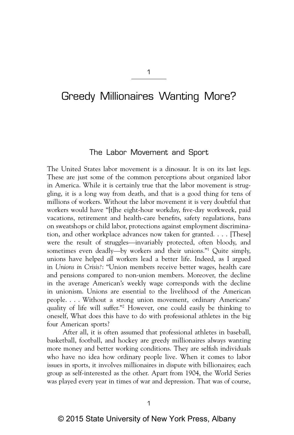Greedy Millionaires Wanting More?

1

## The Labor Movement and Sport

The United States labor movement is a dinosaur. It is on its last legs. These are just some of the common perceptions about organized labor in America. While it is certainly true that the labor movement is struggling, it is a long way from death, and that is a good thing for tens of millions of workers. Without the labor movement it is very doubtful that workers would have "[t]he eight-hour workday, five-day workweek, paid vacations, retirement and health-care benefits, safety regulations, bans on sweatshops or child labor, protections against employment discrimination, and other workplace advances now taken for granted. . . . [These] were the result of struggles—invariably protected, often bloody, and sometimes even deadly—by workers and their unions."1 Quite simply, unions have helped *all* workers lead a better life. Indeed, as I argued in *Unions in Crisis?*: "Union members receive better wages, health care and pensions compared to non-union members. Moreover, the decline in the average American's weekly wage corresponds with the decline in unionism. Unions are essential to the livelihood of the American people. . . . Without a strong union movement, ordinary Americans' quality of life will suffer."2 However, one could easily be thinking to oneself, What does this have to do with professional athletes in the big four American sports?

After all, it is often assumed that professional athletes in baseball, basketball, football, and hockey are greedy millionaires always wanting more money and better working conditions. They are selfish individuals who have no idea how ordinary people live. When it comes to labor issues in sports, it involves millionaires in dispute with billionaires; each group as self-interested as the other. Apart from 1904, the World Series was played every year in times of war and depression. That was of course,

1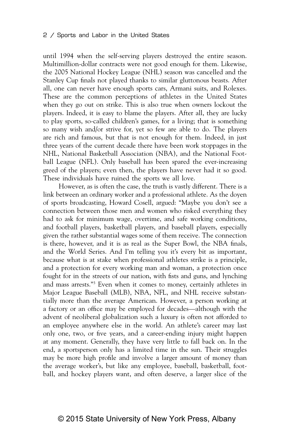until 1994 when the self-serving players destroyed the entire season. Multimillion-dollar contracts were not good enough for them. Likewise, the 2005 National Hockey League (NHL) season was cancelled and the Stanley Cup finals not played thanks to similar gluttonous beasts. After all, one can never have enough sports cars, Armani suits, and Rolexes. These are the common perceptions of athletes in the United States when they go out on strike. This is also true when owners lockout the players. Indeed, it is easy to blame the players. After all, they are lucky to play sports, so-called children's games, for a living; that is something so many wish and/or strive for, yet so few are able to do. The players are rich and famous, but that is not enough for them. Indeed, in just three years of the current decade there have been work stoppages in the NHL, National Basketball Association (NBA), and the National Football League (NFL). Only baseball has been spared the ever-increasing greed of the players; even then, the players have never had it so good. These individuals have ruined the sports we all love.

However, as is often the case, the truth is vastly different. There is a link between an ordinary worker and a professional athlete. As the doyen of sports broadcasting, Howard Cosell, argued: "Maybe you don't see a connection between those men and women who risked everything they had to ask for minimum wage, overtime, and safe working conditions, and football players, basketball players, and baseball players, especially given the rather substantial wages some of them receive. The connection is there, however, and it is as real as the Super Bowl, the NBA finals, and the World Series. And I'm telling you it's every bit as important, because what is at stake when professional athletes strike is a principle, and a protection for every working man and woman, a protection once fought for in the streets of our nation, with fists and guns, and lynching and mass arrests."3 Even when it comes to money, certainly athletes in Major League Baseball (MLB), NBA, NFL, and NHL receive substantially more than the average American. However, a person working at a factory or an office may be employed for decades—although with the advent of neoliberal globalization such a luxury is often not afforded to an employee anywhere else in the world. An athlete's career may last only one, two, or five years, and a career-ending injury might happen at any moment. Generally, they have very little to fall back on. In the end, a sportsperson only has a limited time in the sun. Their struggles may be more high profile and involve a larger amount of money than the average worker's, but like any employee, baseball, basketball, football, and hockey players want, and often deserve, a larger slice of the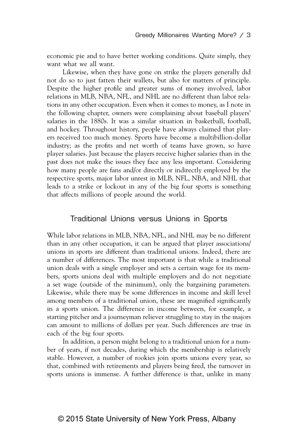economic pie and to have better working conditions. Quite simply, they want what we all want.

Likewise, when they have gone on strike the players generally did not do so to just fatten their wallets, but also for matters of principle. Despite the higher profile and greater sums of money involved, labor relations in MLB, NBA, NFL, and NHL are no different than labor relations in any other occupation. Even when it comes to money, as I note in the following chapter, owners were complaining about baseball players' salaries in the 1880s. It was a similar situation in basketball, football, and hockey. Throughout history, people have always claimed that players received too much money. Sports have become a multibillion-dollar industry; as the profits and net worth of teams have grown, so have player salaries. Just because the players receive higher salaries than in the past does not make the issues they face any less important. Considering how many people are fans and/or directly or indirectly employed by the respective sports, major labor unrest in MLB, NFL, NBA, and NHL that leads to a strike or lockout in any of the big four sports is something that affects millions of people around the world.

# Traditional Unions versus Unions in Sports

While labor relations in MLB, NBA, NFL, and NHL may be no different than in any other occupation, it can be argued that player associations/ unions in sports are different than traditional unions. Indeed, there are a number of differences. The most important is that while a traditional union deals with a single employer and sets a certain wage for its members, sports unions deal with multiple employers and do not negotiate a set wage (outside of the minimum), only the bargaining parameters. Likewise, while there may be some differences in income and skill level among members of a traditional union, these are magnified significantly in a sports union. The difference in income between, for example, a starting pitcher and a journeyman reliever struggling to stay in the majors can amount to millions of dollars per year. Such differences are true in each of the big four sports.

In addition, a person might belong to a traditional union for a number of years, if not decades, during which the membership is relatively stable. However, a number of rookies join sports unions every year, so that, combined with retirements and players being fired, the turnover in sports unions is immense. A further difference is that, unlike in many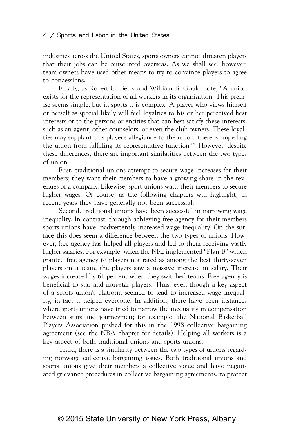industries across the United States, sports owners cannot threaten players that their jobs can be outsourced overseas. As we shall see, however, team owners have used other means to try to convince players to agree to concessions.

Finally, as Robert C. Berry and William B. Gould note, "A union exists for the representation of all workers in its organization. This premise seems simple, but in sports it is complex. A player who views himself or herself as special likely will feel loyalties to his or her perceived best interests or to the persons or entities that can best satisfy these interests, such as an agent, other counselors, or even the club owners. These loyalties may supplant this player's allegiance to the union, thereby impeding the union from fulfilling its representative function."4 However, despite these differences, there are important similarities between the two types of union.

First, traditional unions attempt to secure wage increases for their members; they want their members to have a growing share in the revenues of a company. Likewise, sport unions want their members to secure higher wages. Of course, as the following chapters will highlight, in recent years they have generally not been successful.

Second, traditional unions have been successful in narrowing wage inequality. In contrast, through achieving free agency for their members sports unions have inadvertently increased wage inequality. On the surface this does seem a difference between the two types of unions. However, free agency has helped all players and led to them receiving vastly higher salaries. For example, when the NFL implemented "Plan B" which granted free agency to players not rated as among the best thirty-seven players on a team, the players saw a massive increase in salary. Their wages increased by 61 percent when they switched teams. Free agency is beneficial to star and non-star players. Thus, even though a key aspect of a sports union's platform seemed to lead to increased wage inequality, in fact it helped everyone. In addition, there have been instances where sports unions have tried to narrow the inequality in compensation between stars and journeymen; for example, the National Basketball Players Association pushed for this in the 1998 collective bargaining agreement (see the NBA chapter for details). Helping all workers is a key aspect of both traditional unions and sports unions.

Third, there is a similarity between the two types of unions regarding nonwage collective bargaining issues. Both traditional unions and sports unions give their members a collective voice and have negotiated grievance procedures in collective bargaining agreements, to protect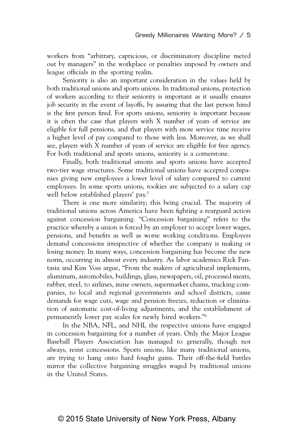workers from "arbitrary, capricious, or discriminatory discipline meted out by managers" in the workplace or penalties imposed by owners and league officials in the sporting realm.

Seniority is also an important consideration in the values held by both traditional unions and sports unions. In traditional unions, protection of workers according to their seniority is important as it usually ensures job security in the event of layoffs, by assuring that the last person hired is the first person fired. For sports unions, seniority is important because it is often the case that players with X number of years of service are eligible for full pensions, and that players with more service time receive a higher level of pay compared to those with less. Moreover, as we shall see, players with X number of years of service are eligible for free agency. For both traditional and sports unions, seniority is a cornerstone.

Finally, both traditional unions and sports unions have accepted two-tier wage structures. Some traditional unions have accepted companies giving new employees a lower level of salary compared to current employees. In some sports unions, rookies are subjected to a salary cap well below established players' pay.<sup>5</sup>

There is one more similarity; this being crucial. The majority of traditional unions across America have been fighting a rearguard action against concession bargaining. "Concession bargaining" refers to the practice whereby a union is forced by an employer to accept lower wages, pensions, and benefits as well as worse working conditions. Employers demand concessions irrespective of whether the company is making or losing money. In many ways, concession bargaining has become the new norm, occurring in almost every industry. As labor academics Rick Fantasia and Kim Voss argue, "From the makers of agricultural implements, aluminum, automobiles, buildings, glass, newspapers, oil, processed meats, rubber, steel, to airlines, mine owners, supermarket chains, trucking companies, to local and regional governments and school districts, came demands for wage cuts, wage and pension freezes, reduction or elimination of automatic cost-of-living adjustments, and the establishment of permanently lower pay scales for newly hired workers."6

In the NBA, NFL, and NHL the respective unions have engaged in concession bargaining for a number of years. Only the Major League Baseball Players Association has managed to generally, though not always, resist concessions. Sports unions, like many traditional unions, are trying to hang onto hard fought gains. Their off-the-field battles mirror the collective bargaining struggles waged by traditional unions in the United States.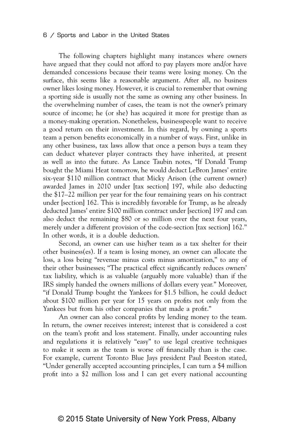The following chapters highlight many instances where owners have argued that they could not afford to pay players more and/or have demanded concessions because their teams were losing money. On the surface, this seems like a reasonable argument. After all, no business owner likes losing money. However, it is crucial to remember that owning a sporting side is usually not the same as owning any other business. In the overwhelming number of cases, the team is not the owner's primary source of income; he (or she) has acquired it more for prestige than as a money-making operation. Nonetheless, businesspeople want to receive a good return on their investment. In this regard, by owning a sports team a person benefits economically in a number of ways. First, unlike in any other business, tax laws allow that once a person buys a team they can deduct whatever player contracts they have inherited, at present as well as into the future. As Lance Taubin notes, "If Donald Trump bought the Miami Heat tomorrow, he would deduct LeBron James' entire six-year \$110 million contract that Micky Arison (the current owner) awarded James in 2010 under [tax section] 197, while also deducting the \$17–22 million per year for the four remaining years on his contract under [section] 162. This is incredibly favorable for Trump, as he already deducted James' entire \$100 million contract under [section] 197 and can also deduct the remaining \$80 or so million over the next four years, merely under a different provision of the code-section [tax section] 162." In other words, it is a double deduction.

Second, an owner can use his/her team as a tax shelter for their other business(es). If a team is losing money, an owner can allocate the loss, a loss being "revenue minus costs minus amortization," to any of their other businesses; "The practical effect significantly reduces owners' tax liability, which is as valuable (arguably more valuable) than if the IRS simply handed the owners millions of dollars every year." Moreover, "if Donald Trump bought the Yankees for \$1.5 billion, he could deduct about \$100 million per year for 15 years on profits not only from the Yankees but from his other companies that made a profit."

An owner can also conceal profits by lending money to the team. In return, the owner receives interest; interest that is considered a cost on the team's profit and loss statement. Finally, under accounting rules and regulations it is relatively "easy" to use legal creative techniques to make it seem as the team is worse off financially than is the case. For example, current Toronto Blue Jays president Paul Beeston stated, "Under generally accepted accounting principles, I can turn a \$4 million profit into a \$2 million loss and I can get every national accounting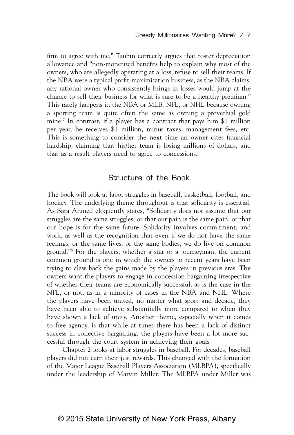firm to agree with me." Taubin correctly argues that roster depreciation allowance and "non-monetized benefits help to explain why most of the owners, who are allegedly operating at a loss, refuse to sell their teams. If the NBA were a typical profit-maximization business, as the NBA claims, any rational owner who consistently brings in losses would jump at the chance to sell their business for what is sure to be a healthy premium." This rarely happens in the NBA or MLB, NFL, or NHL because owning a sporting team is quite often the same as owning a proverbial gold mine.7 In contrast, if a player has a contract that pays him \$1 million per year, he receives \$1 million, minus taxes, management fees, etc. This is something to consider the next time an owner cites financial hardship, claiming that his/her team is losing millions of dollars, and that as a result players need to agree to concessions.

## Structure of the Book

The book will look at labor struggles in baseball, basketball, football, and hockey. The underlying theme throughout is that solidarity is essential. As Sara Ahmed eloquently states, "Solidarity does not assume that our struggles are the same struggles, or that our pain is the same pain, or that our hope is for the same future. Solidarity involves commitment, and work, as well as the recognition that even if we do not have the same feelings, or the same lives, or the same bodies, we do live on common ground."8 For the players, whether a star or a journeyman, the current common ground is one in which the owners in recent years have been trying to claw back the gains made by the players in previous eras. The owners want the players to engage in concession bargaining irrespective of whether their teams are economically successful, as is the case in the NFL, or not, as in a minority of cases in the NBA and NHL. Where the players have been united, no matter what sport and decade, they have been able to achieve substantially more compared to when they have shown a lack of unity. Another theme, especially when it comes to free agency, is that while at times there has been a lack of distinct success in collective bargaining, the players have been a lot more successful through the court system in achieving their goals.

Chapter 2 looks at labor struggles in baseball. For decades, baseball players did not earn their just rewards. This changed with the formation of the Major League Baseball Players Association (MLBPA), specifically under the leadership of Marvin Miller. The MLBPA under Miller was